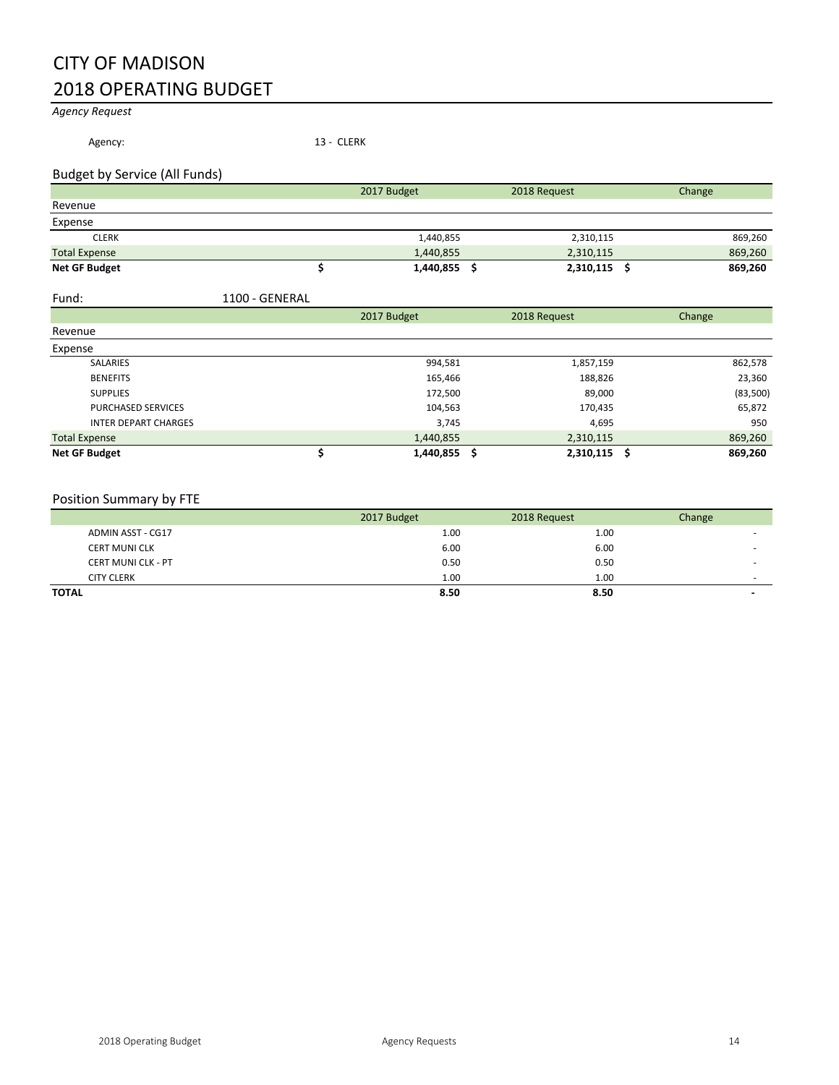### CITY OF MADISON 2018 OPERATING BUDGET

*Agency Request*

Agency: 13 - CLERK

### Budget by Service (All Funds)

|                      | 2017 Budget |           | 2018 Request   | Change  |
|----------------------|-------------|-----------|----------------|---------|
| Revenue              |             |           |                |         |
| Expense              |             |           |                |         |
| <b>CLERK</b>         |             | 1,440,855 | 2,310,115      | 869,260 |
| <b>Total Expense</b> |             | 1,440,855 | 2,310,115      | 869,260 |
| Net GF Budget        |             | 1,440,855 | $2,310,115$ \$ | 869,260 |

| ٠<br> |  |  |
|-------|--|--|

#### 1100 - GENERAL

|                             | 2017 Budget |           | 2018 Request   | Change   |
|-----------------------------|-------------|-----------|----------------|----------|
| Revenue                     |             |           |                |          |
| Expense                     |             |           |                |          |
| <b>SALARIES</b>             |             | 994,581   | 1,857,159      | 862,578  |
| <b>BENEFITS</b>             |             | 165,466   | 188,826        | 23,360   |
| <b>SUPPLIES</b>             |             | 172,500   | 89,000         | (83,500) |
| <b>PURCHASED SERVICES</b>   |             | 104,563   | 170,435        | 65,872   |
| <b>INTER DEPART CHARGES</b> |             | 3,745     | 4,695          | 950      |
| <b>Total Expense</b>        |             | 1,440,855 | 2,310,115      | 869,260  |
| <b>Net GF Budget</b>        |             | 1,440,855 | $2,310,115$ \$ | 869,260  |

### Position Summary by FTE

|                           | 2017 Budget | 2018 Request | Change                   |
|---------------------------|-------------|--------------|--------------------------|
| ADMIN ASST - CG17         | 1.00        | 1.00         | -                        |
| <b>CERT MUNI CLK</b>      | 6.00        | 6.00         | $\overline{\phantom{a}}$ |
| <b>CERT MUNI CLK - PT</b> | 0.50        | 0.50         | -                        |
| <b>CITY CLERK</b>         | 1.00        | 1.00         | $\sim$                   |
| <b>TOTAL</b>              | 8.50        | 8.50         |                          |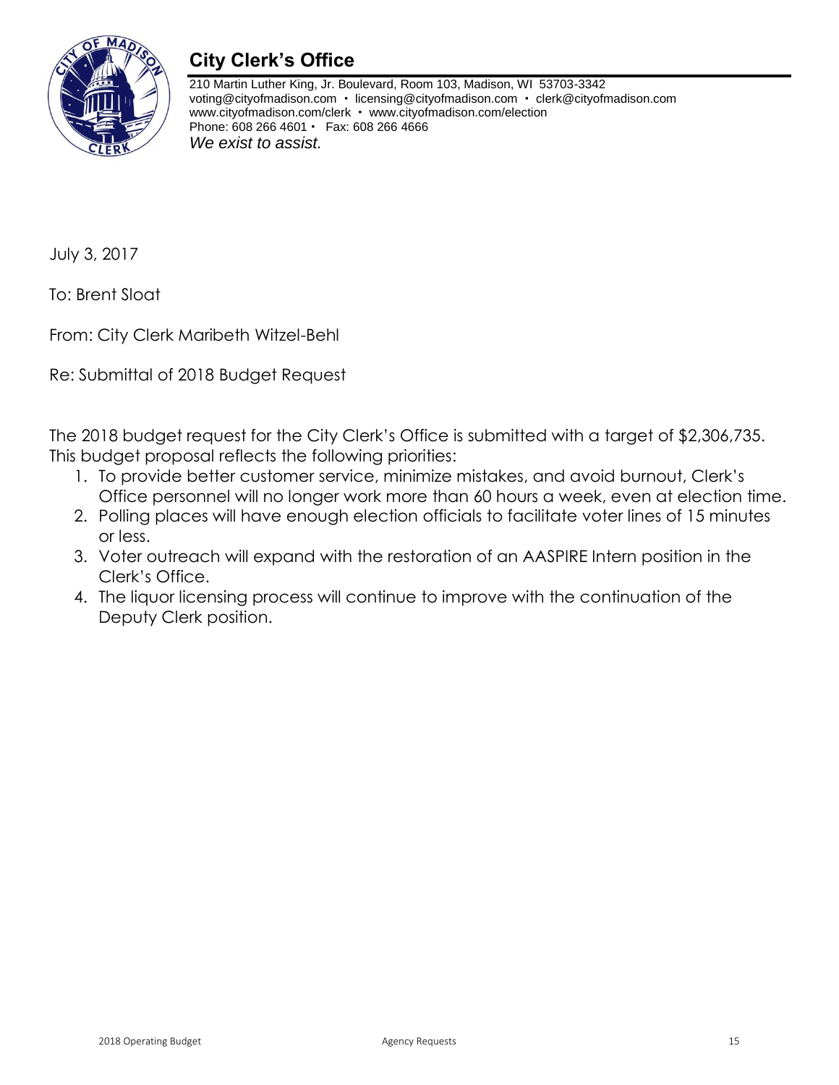

## **City Clerk's Office**

210 Martin Luther King, Jr. Boulevard, Room 103, Madison, WI 53703-3342 voting@cityofmadison.com · licensing@cityofmadison.com · [clerk@cityofmadison.com](mailto:clerk@cityofmadison.com) [www.cityofmadison.com/clerk](http://www.cityofmadison.com/clerk)  [www.cityofmadison.com/election](http://www.cityofmadison.com/election) Phone: 608 266 4601 • Fax: 608 266 4666 *We exist to assist.*

July 3, 2017

To: Brent Sloat

From: City Clerk Maribeth Witzel-Behl

Re: Submittal of 2018 Budget Request

The 2018 budget request for the City Clerk's Office is submitted with a target of \$2,306,735. This budget proposal reflects the following priorities:

- 1. To provide better customer service, minimize mistakes, and avoid burnout, Clerk's Office personnel will no longer work more than 60 hours a week, even at election time.
- 2. Polling places will have enough election officials to facilitate voter lines of 15 minutes or less.
- 3. Voter outreach will expand with the restoration of an AASPIRE Intern position in the Clerk's Office.
- 4. The liquor licensing process will continue to improve with the continuation of the Deputy Clerk position.